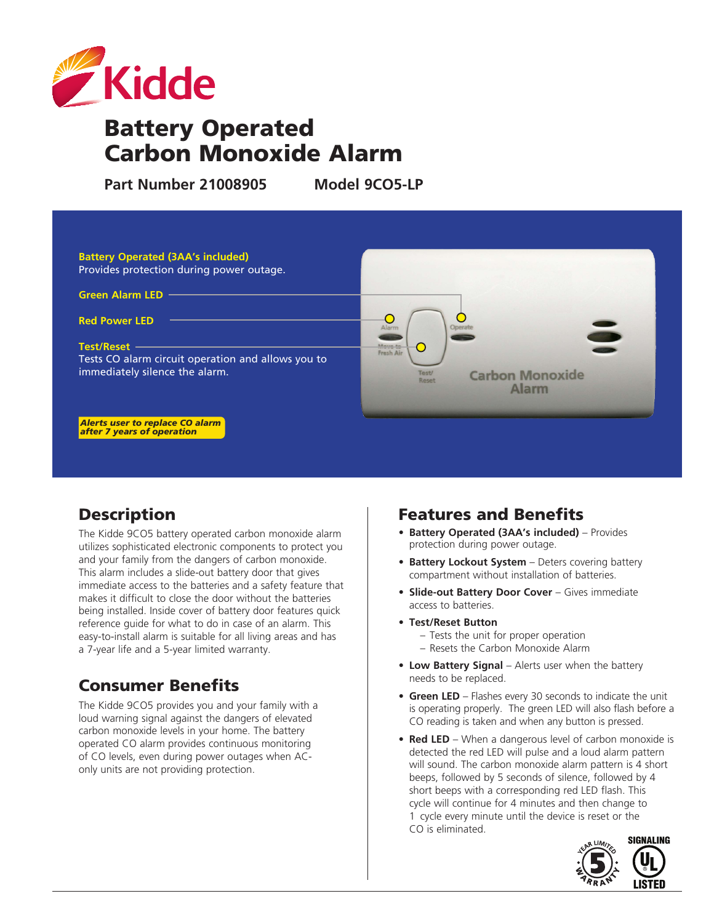

# Battery Operated Carbon Monoxide Alarm

**Part Number 21008905 Model 9CO5-LP**



# **Description**

The Kidde 9CO5 battery operated carbon monoxide alarm utilizes sophisticated electronic components to protect you and your family from the dangers of carbon monoxide. This alarm includes a slide-out battery door that gives immediate access to the batteries and a safety feature that makes it difficult to close the door without the batteries being installed. Inside cover of battery door features quick reference guide for what to do in case of an alarm. This easy-to-install alarm is suitable for all living areas and has a 7-year life and a 5-year limited warranty.

# Consumer Benefits

The Kidde 9CO5 provides you and your family with a loud warning signal against the dangers of elevated carbon monoxide levels in your home. The battery operated CO alarm provides continuous monitoring of CO levels, even during power outages when AConly units are not providing protection.

### Features and Benefits

- **• Battery Operated (3AA's included)** Provides protection during power outage.
- **• Battery Lockout System** Deters covering battery compartment without installation of batteries.
- **• Slide-out Battery Door Cover** Gives immediate access to batteries.
- **• Test/Reset Button**
	- Tests the unit for proper operation
	- Resets the Carbon Monoxide Alarm
- **• Low Battery Signal** Alerts user when the battery needs to be replaced.
- **Green LED** Flashes every 30 seconds to indicate the unit is operating properly. The green LED will also flash before a CO reading is taken and when any button is pressed.
- **Red LED** When a dangerous level of carbon monoxide is detected the red LED will pulse and a loud alarm pattern will sound. The carbon monoxide alarm pattern is 4 short beeps, followed by 5 seconds of silence, followed by 4 short beeps with a corresponding red LED flash. This cycle will continue for 4 minutes and then change to 1 cycle every minute until the device is reset or the CO is eliminated.